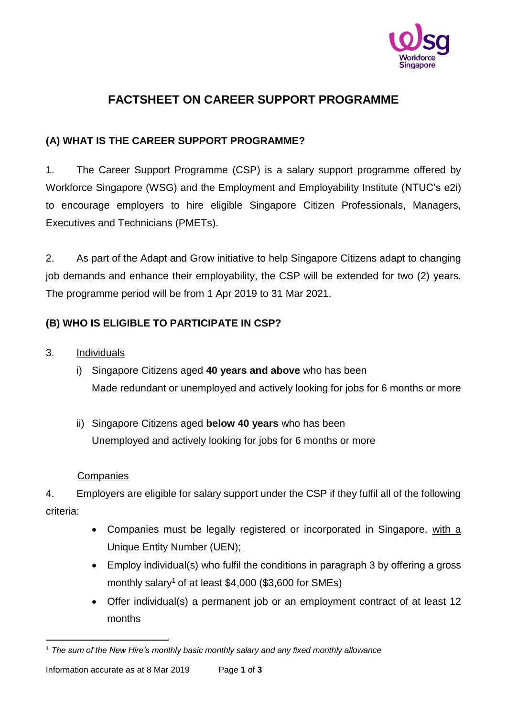

# **FACTSHEET ON CAREER SUPPORT PROGRAMME**

# **(A) WHAT IS THE CAREER SUPPORT PROGRAMME?**

1. The Career Support Programme (CSP) is a salary support programme offered by Workforce Singapore (WSG) and the Employment and Employability Institute (NTUC's e2i) to encourage employers to hire eligible Singapore Citizen Professionals, Managers, Executives and Technicians (PMETs).

2. As part of the Adapt and Grow initiative to help Singapore Citizens adapt to changing job demands and enhance their employability, the CSP will be extended for two (2) years. The programme period will be from 1 Apr 2019 to 31 Mar 2021.

# **(B) WHO IS ELIGIBLE TO PARTICIPATE IN CSP?**

3. Individuals

- i) Singapore Citizens aged **40 years and above** who has been Made redundant or unemployed and actively looking for jobs for 6 months or more
- ii) Singapore Citizens aged **below 40 years** who has been Unemployed and actively looking for jobs for 6 months or more

### **Companies**

4. Employers are eligible for salary support under the CSP if they fulfil all of the following criteria:

- Companies must be legally registered or incorporated in Singapore, with a Unique Entity Number (UEN);
- Employ individual(s) who fulfil the conditions in paragraph 3 by offering a gross monthly salary<sup>1</sup> of at least  $$4,000$  (\$3,600 for SMEs)
- Offer individual(s) a permanent job or an employment contract of at least 12 months

 $\overline{a}$ <sup>1</sup> *The sum of the New Hire's monthly basic monthly salary and any fixed monthly allowance*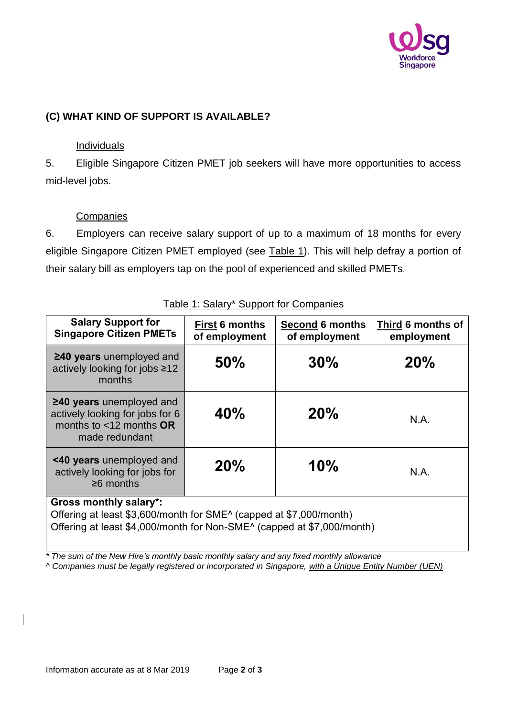

### **(C) WHAT KIND OF SUPPORT IS AVAILABLE?**

### Individuals

5. Eligible Singapore Citizen PMET job seekers will have more opportunities to access mid-level jobs.

### **Companies**

6. Employers can receive salary support of up to a maximum of 18 months for every eligible Singapore Citizen PMET employed (see Table 1). This will help defray a portion of their salary bill as employers tap on the pool of experienced and skilled PMETs.

| <b>Salary Support for</b><br><b>Singapore Citizen PMETs</b>                                                                                                                               | <b>First 6 months</b><br>of employment | <b>Second 6 months</b><br>of employment | Third 6 months of<br>employment |
|-------------------------------------------------------------------------------------------------------------------------------------------------------------------------------------------|----------------------------------------|-----------------------------------------|---------------------------------|
| $\geq$ 40 years unemployed and<br>actively looking for jobs ≥12<br>months                                                                                                                 | 50%                                    | 30%                                     | 20%                             |
| $\geq$ 40 years unemployed and<br>actively looking for jobs for 6<br>months to $<$ 12 months OR<br>made redundant                                                                         | 40%                                    | 20%                                     | N.A.                            |
| <40 years unemployed and<br>actively looking for jobs for<br>$\geq 6$ months                                                                                                              | 20%                                    | 10%                                     | N.A.                            |
| <b>Gross monthly salary*:</b><br>Offering at least \$3,600/month for SME <sup>^</sup> (capped at \$7,000/month)<br>Offering at least \$4,000/month for Non-SME^ (capped at \$7,000/month) |                                        |                                         |                                 |

Table 1: Salary\* Support for Companies

*\* The sum of the New Hire's monthly basic monthly salary and any fixed monthly allowance*

*^ Companies must be legally registered or incorporated in Singapore, with a Unique Entity Number (UEN)*